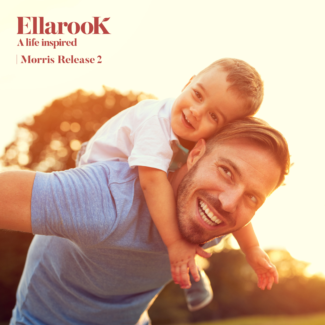

## **Morris Release 2**